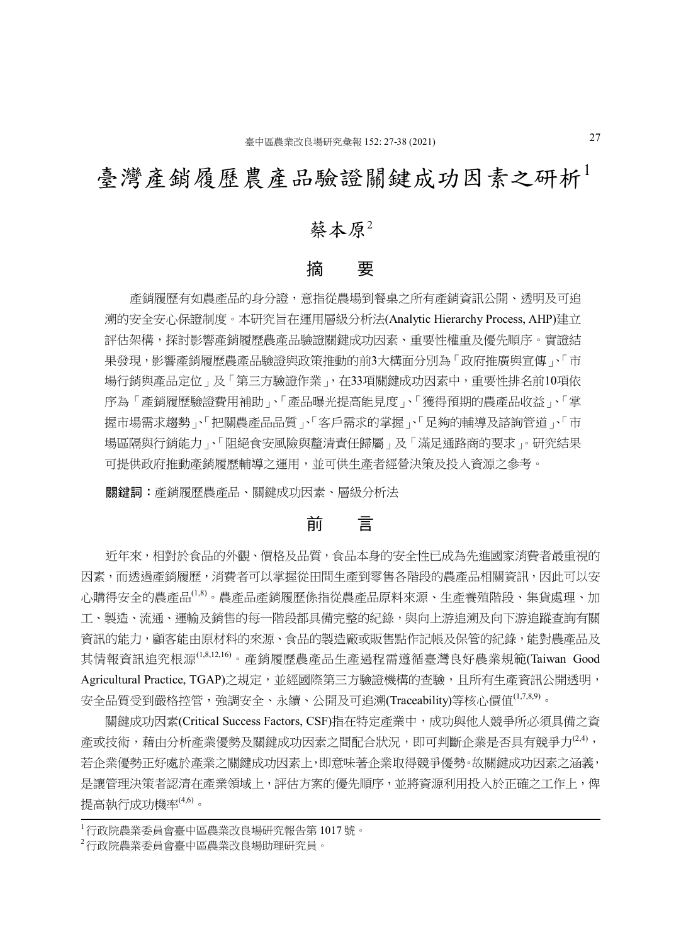# 臺灣產銷履歷農產品驗證關鍵成功因素之研析

# 蔡本原<sup>2</sup>

#### 摘 要

 產銷履歷有如農產品的身分證,意指從農場到餐桌之所有產銷資訊公開、透明及可追 溯的安全安心保證制度。本研究旨在運用層級分析法(Analytic Hierarchy Process, AHP)建立 評估架構,探討影響產銷履歷農產品驗證關鍵成功因素、重要性權重及優先順序。實證結 果發現,影響產銷履歷農產品驗證與政策推動的前3大構面分別為「政府推廣與宣傳」、「市 場行銷與產品定位」及「第三方驗證作業」,在33項關鍵成功因素中,重要性排名前10項依 序為「產銷履歷驗證費用補助」、「產品曝光提高能見度」、「獲得預期的農產品收益」、「掌 握市場需求趨勢」、「把關農產品品質」、「客戶需求的掌握」、「足夠的輔導及諮詢管道」、「市 場區隔與行銷能力」、「阻絕食安風險與釐清責任歸屬」及「滿足通路商的要求」。研究結果 可提供政府推動產銷履歷輔導之運用,並可供生產者經營決策及投入資源之參考。

關鍵詞:產銷履歷農產品、關鍵成功因素、層級分析法

# 前 言

 近年來,相對於食品的外觀、價格及品質,食品本身的安全性已成為先進國家消費者最重視的 因素,而透過產銷履歷,消費者可以掌握從田間生產到零售各階段的農產品相關資訊,因此可以安 心購得安全的農產品<sup>(1,8)</sup>。農產品產銷履歷係指從農產品原料來源、生產養殖階段、集貨處理、加 工、製造、流通、運輸及銷售的每一階段都具備完整的紀錄,與向上游追溯及向下游追蹤查詢有關 資訊的能力,顧客能由原材料的來源、食品的製造廠或販售點作記帳及保管的紀錄,能對農產品及 其情報資訊追究根源(1,8,12,16)。產銷履歷農產品生產過程需遵循臺灣良好農業規範(Taiwan Good Agricultural Practice, TGAP)之規定,並經國際第三方驗證機構的查驗,且所有生產資訊公開透明, 安全品質受到嚴格控管,強調安全、永續、公開及可追溯(Traceability)等核心價值(1,7,8,9)。

關鍵成功因素(Critical Success Factors, CSF)指在特定產業中,成功與他人競爭所必須具備之資 產或技術,藉由分析產業優勢及關鍵成功因素之間配合狀況,即可判斷企業是否具有競爭力 $^{(2,4)}$ , 若企業優勢正好處於產業之關鍵成功因素上,即意味著企業取得競爭優勢。故關鍵成功因素之涵義, 是讓管理決策者認清在產業領域上,評估方案的優先順序,並將資源利用投入於正確之工作上,俾 提高執行成功機率(4,6)。

<sup>1</sup>行政院農業委員會臺中區農業改良場研究報告第 1017 號。

<sup>2</sup>行政院農業委員會臺中區農業改良場助理研究員。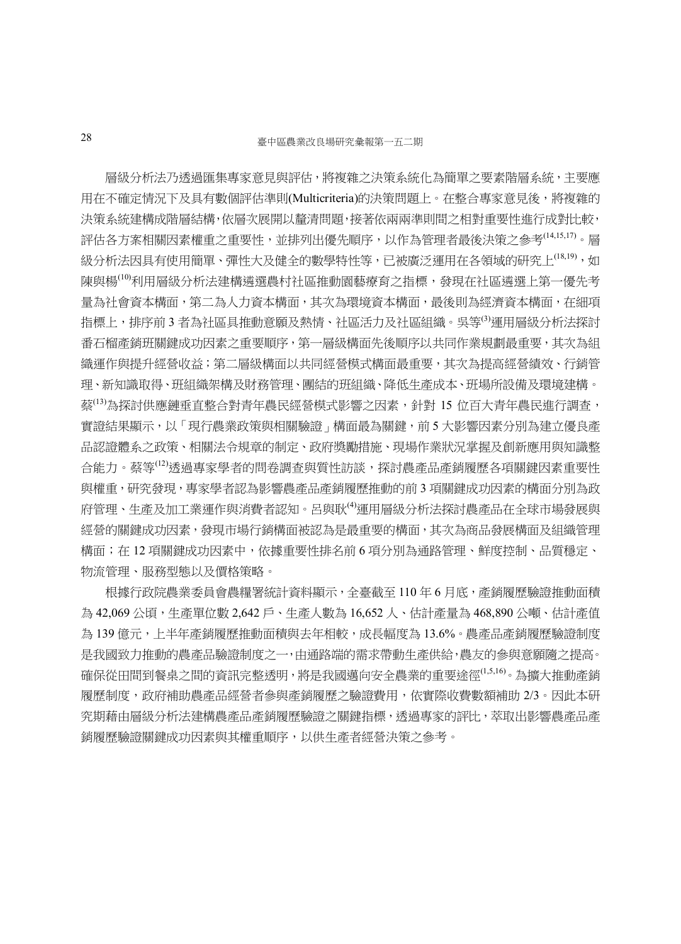層級分析法乃透過匯集專家意見與評估,將複雜之決策系統化為簡單之要素階層系統,主要應 用在不確定情況下及具有數個評估準則(Multicriteria)的決策問題上。在整合專家意見後,將複雜的 決策系統建構成階層結構,依層次展開以釐清問題,接著依兩兩準則間之相對重要性進行成對比較, 評估各方案相關因素權重之重要性,並排列出優先順序,以作為管理者最後決策之參考(14,15,17)。層 級分析法因具有使用簡單、彈性大及健全的數學特性等,已被廣泛運用在各領域的研究上<sup>(18,19)</sup>,如 陳與楊<sup>(10)</sup>利用層級分析法建構遴選農村社區推動園藝療育之指標,發現在社區遴選上第一優先考 量為社會資本構面,第二為人力資本構面,其次為環境資本構面,最後則為經濟資本構面,在細項 指標上,排序前 3 者為社區具推動意願及熱情、社區活力及社區組織。吳等<sup>69</sup>運用層級分析法探討 番石榴產銷班關鍵成功因素之重要順序,第一層級構面先後順序以共同作業規劃最重要,其次為組 織運作與提升經營收益;第二層級構面以共同經營模式構面最重要,其次為提高經營績效、行銷管 理、新知識取得、班組織架構及財務管理、團結的班組織、降低生產成本、班場所設備及環境建構。 蔡(13)為探討供應鏈垂直整合對青年農民經營模式影響之因素,針對 15 位百大青年農民進行調查, 實證結果顯示,以「現行農業政策與相關驗證」構面最為關鍵,前 5 大影響因素分別為建立優良產 品認證體系之政策、相關法令規章的制定、政府獎勵措施、現場作業狀況掌握及創新應用與知識整 合能力。蔡等(12)透過專家學者的問卷調查與質性訪談,探討農產品產銷履歷各項關鍵因素重要性 與權重,研究發現,專家學者認為影響農產品產銷履歷推動的前 3 項關鍵成功因素的構面分別為政 府管理、生產及加工業運作與消費者認知。呂與耿(4)運用層級分析法探討農產品在全球市場發展與 經營的關鍵成功因素,發現市場行銷構面被認為是最重要的構面,其次為商品發展構面及組織管理 構面;在 12 項關鍵成功因素中,依據重要性排名前 6 項分別為通路管理、鮮度控制、品質穩定、 物流管理、服務型態以及價格策略。

根據行政院農業委員會農糧署統計資料顯示,全臺截至110年6月底,產銷履歷驗證推動面積 為 42,069 公頃,生產單位數 2,642 戶、生產人數為 16,652 人、估計產量為 468,890 公噸、估計產值 為 139 億元,上半年產銷履歷推動面積與去年相較,成長幅度為 13.6%。農產品產銷履歷驗證制度 是我國致力推動的農產品驗證制度之一,由通路端的需求帶動生產供給,農友的參與意願隨之提高。 確保從田間到餐桌之間的資訊完整透明,將是我國邁向安全農業的重要途徑<sup>(1,5,16</sup>)。為擴大推動產銷 履歷制度,政府補助農產品經營者參與產銷履歷之驗證費用,依實際收費數額補助 2/3。因此本研 究期藉由層級分析法建構農產品產銷履歷驗證之關鍵指標,透過專家的評比,萃取出影響農產品產 銷履歷驗證關鍵成功因素與其權重順序,以供生產者經營決策之參考。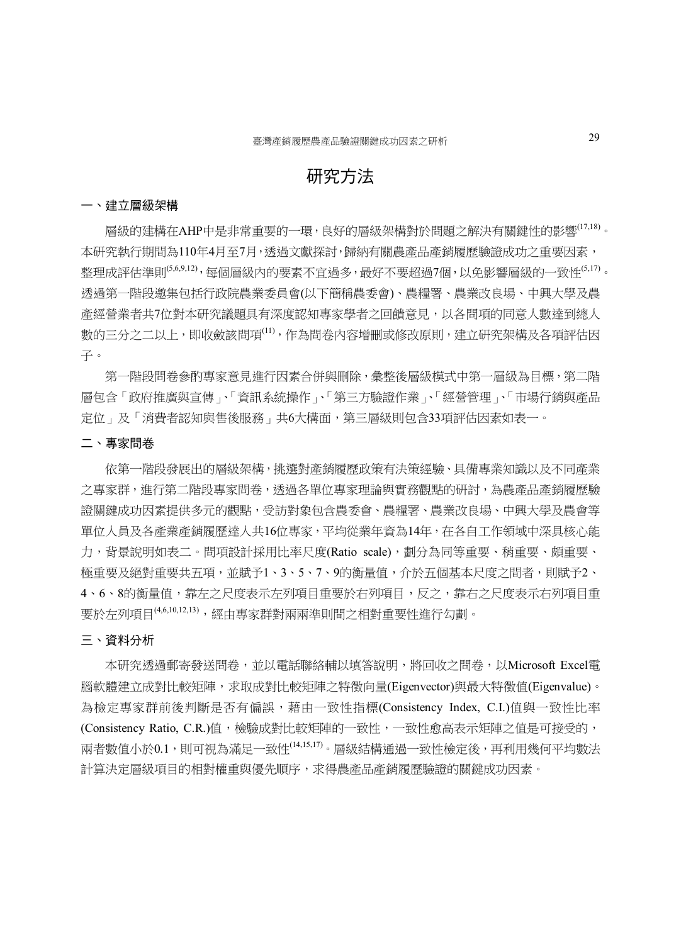# 研究方法

#### 一、建立層級架構

層級的建構在AHP中是非常重要的一環,良好的層級架構對於問題之解決有關鍵性的影響<sup>(17,18)</sup>。 本研究執行期間為110年4月至7月,透過文獻探討,歸納有關農產品產銷履歷驗證成功之重要因素, 整理成評估準則<sup>(5,6,9,12),每個層級內的要素不宜過多,最好不要超過7個,以免影響層級的一致性<sup>6,17)</sup>。</sup> 透過第一階段邀集包括行政院農業委員會(以下簡稱農委會)、農糧署、農業改良場、中興大學及農 產經營業者共7位對本研究議題具有深度認知專家學者之回饋意見,以各問項的同意人數達到總人 數的三分之二以上,即收斂該問項(11),作為問卷內容增刪或修改原則,建立研究架構及各項評估因 子。

第一階段問卷參酌專家意見進行因素合併與刪除,彙整後層級模式中第一層級為目標,第二階 層包含「政府推廣與宣傳」、「資訊系統操作」、「第三方驗證作業」、「經營管理」、「市場行銷與產品 定位」及「消費者認知與售後服務」共6大構面,第三層級則包含33項評估因素如表一。

#### 二、專家問卷

依第一階段發展出的層級架構,挑選對產銷履歷政策有決策經驗、具備專業知識以及不同產業 之專家群,進行第二階段專家問卷,透過各單位專家理論與實務觀點的研討,為農產品產銷履歷驗 證關鍵成功因素提供多元的觀點,受訪對象包含農委會、農糧署、農業改良場、中興大學及農會等 單位人員及各產業產銷履歷達人共16位專家,平均從業年資為14年,在各自工作領域中深具核心能 力,背景說明如表二。問項設計採用比率尺度(Ratio scale),劃分為同等重要、稍重要、頗重要、 極重要及絕對重要共五項,並賦予1、3、5、7、9的衡量值,介於五個基本尺度之間者,則賦予2、 4、6、8的衡量值,靠左之尺度表示左列項目重要於右列項目,反之,靠右之尺度表示右列項目重 要於左列項目(4,6,10,12,13),經由專家群對兩兩準則間之相對重要性進行勾劃。

#### 三、資料分析

本研究透過郵寄發送問卷,並以電話聯絡輔以填答說明,將回收之問卷,以Microsoft Excel電 腦軟體建立成對比較矩陣,求取成對比較矩陣之特徵向量(Eigenvector)與最大特徵值(Eigenvalue)。 為檢定專家群前後判斷是否有偏誤,藉由一致性指標(Consistency Index, C.I.)值與一致性比率 (Consistency Ratio, C.R.)值,檢驗成對比較矩陣的一致性,一致性愈高表示矩陣之值是可接受的, 兩者數值小於0.1,則可視為滿足一致性(14,15,17)。層級結構通過一致性檢定後,再利用幾何平均數法 計算決定層級項目的相對權重與優先順序,求得農產品產銷履歷驗證的關鍵成功因素。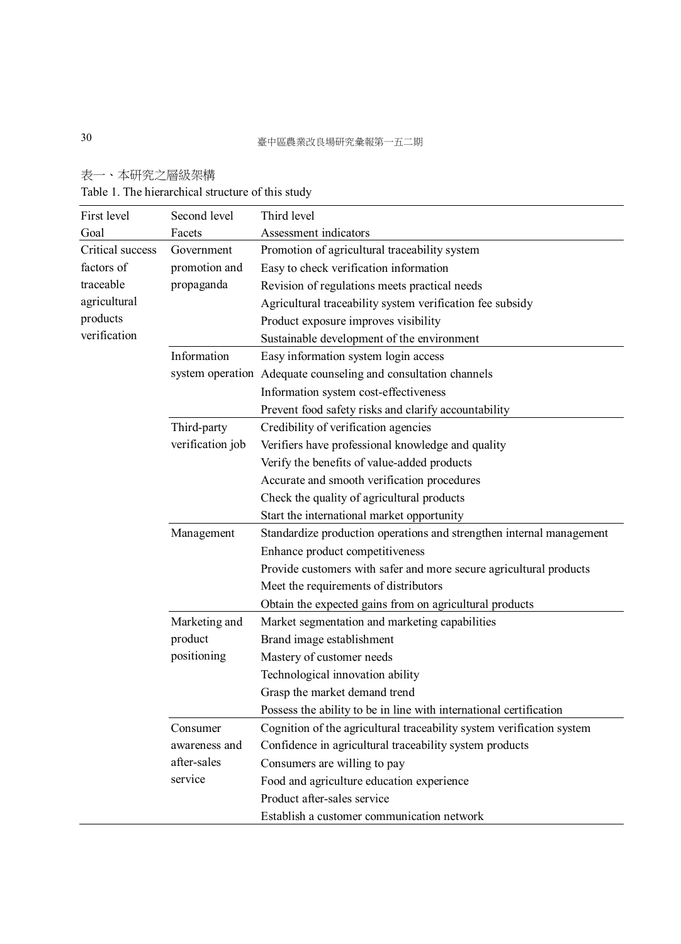# 表一、本研究之層級架構 Table 1. The hierarchical structure of this study

| First level      | Second level     | Third level                                                           |  |  |
|------------------|------------------|-----------------------------------------------------------------------|--|--|
| Goal             | Facets           | Assessment indicators                                                 |  |  |
| Critical success | Government       | Promotion of agricultural traceability system                         |  |  |
| factors of       | promotion and    | Easy to check verification information                                |  |  |
| traceable        | propaganda       | Revision of regulations meets practical needs                         |  |  |
| agricultural     |                  | Agricultural traceability system verification fee subsidy             |  |  |
| products         |                  | Product exposure improves visibility                                  |  |  |
| verification     |                  | Sustainable development of the environment                            |  |  |
|                  | Information      | Easy information system login access                                  |  |  |
|                  |                  | system operation Adequate counseling and consultation channels        |  |  |
|                  |                  | Information system cost-effectiveness                                 |  |  |
|                  |                  | Prevent food safety risks and clarify accountability                  |  |  |
|                  | Third-party      | Credibility of verification agencies                                  |  |  |
|                  | verification job | Verifiers have professional knowledge and quality                     |  |  |
|                  |                  | Verify the benefits of value-added products                           |  |  |
|                  |                  | Accurate and smooth verification procedures                           |  |  |
|                  |                  | Check the quality of agricultural products                            |  |  |
|                  |                  | Start the international market opportunity                            |  |  |
|                  | Management       | Standardize production operations and strengthen internal management  |  |  |
|                  |                  | Enhance product competitiveness                                       |  |  |
|                  |                  | Provide customers with safer and more secure agricultural products    |  |  |
|                  |                  | Meet the requirements of distributors                                 |  |  |
|                  |                  | Obtain the expected gains from on agricultural products               |  |  |
|                  | Marketing and    | Market segmentation and marketing capabilities                        |  |  |
|                  | product          | Brand image establishment                                             |  |  |
|                  | positioning      | Mastery of customer needs                                             |  |  |
|                  |                  | Technological innovation ability                                      |  |  |
|                  |                  | Grasp the market demand trend                                         |  |  |
|                  |                  | Possess the ability to be in line with international certification    |  |  |
|                  | Consumer         | Cognition of the agricultural traceability system verification system |  |  |
|                  | awareness and    | Confidence in agricultural traceability system products               |  |  |
|                  | after-sales      | Consumers are willing to pay                                          |  |  |
|                  | service          | Food and agriculture education experience                             |  |  |
|                  |                  | Product after-sales service                                           |  |  |
|                  |                  | Establish a customer communication network                            |  |  |
|                  |                  |                                                                       |  |  |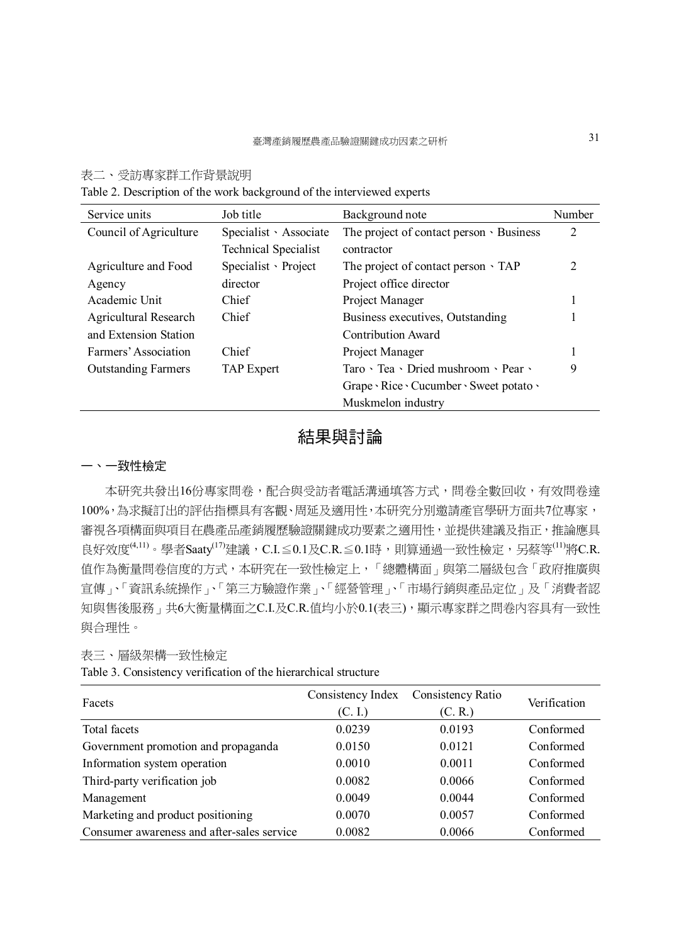#### 表二、受訪專家群工作背景說明

Table 2. Description of the work background of the interviewed experts

| Service units              | Job title                   | Background note                                              | Number |
|----------------------------|-----------------------------|--------------------------------------------------------------|--------|
| Council of Agriculture     | Specialist · Associate      | The project of contact person · Business                     | 2      |
|                            | <b>Technical Specialist</b> | contractor                                                   |        |
| Agriculture and Food       | Specialist > Project        | The project of contact person $\cdot$ TAP                    | 2      |
| Agency                     | director                    | Project office director                                      |        |
| Academic Unit              | Chief                       | Project Manager                                              |        |
| Agricultural Research      | Chief                       | Business executives, Outstanding                             |        |
| and Extension Station      |                             | Contribution Award                                           |        |
| Farmers' Association       | Chief                       | Project Manager                                              |        |
| <b>Outstanding Farmers</b> | <b>TAP</b> Expert           | Taro $\cdot$ Tea $\cdot$ Dried mushroom $\cdot$ Pear $\cdot$ | 9      |
|                            |                             | Grape · Rice · Cucumber · Sweet potato ·                     |        |
|                            |                             | Muskmelon industry                                           |        |

# 結果與討論

#### 一、一致性檢定

本研究共發出16份專家問卷,配合與受訪者電話溝通填答方式,問卷全數回收,有效問卷達 100%,為求擬訂出的評估指標具有客觀、周延及適用性,本研究分別邀請產官學研方面共7位專家, 審視各項構面與項目在農產品產銷履歷驗證關鍵成功要素之適用性,並提供建議及指正,推論應具 良好效度 $^{(4,11)}$ 。學者Saaty $^{(17)}$ 建議,C.I. $\leq$ 0.1及C.R. $\leq$ 0.1時,則算通過一致性檢定,另蔡等 $^{(11)}$ 將C.R. 值作為衡量問卷信度的方式,本研究在一致性檢定上,「總體構面」與第二層級包含「政府推廣與 宣傳」、「資訊系統操作」、「第三方驗證作業」、「經營管理」、「市場行銷與產品定位」及「消費者認 知與售後服務」共6大衡量構面之C.I.及C.R.值均小於0.1(表三),顯示專家群之問卷內容具有一致性 與合理性。

#### 表三、層級架構一致性檢定

Table 3. Consistency verification of the hierarchical structure

| Facets                                     | Consistency Index<br>(C. I.) | Consistency Ratio<br>(C, R) | Verification |
|--------------------------------------------|------------------------------|-----------------------------|--------------|
|                                            |                              |                             |              |
| Total facets                               | 0.0239                       | 0.0193                      | Conformed    |
| Government promotion and propaganda        | 0.0150                       | 0.0121                      | Conformed    |
| Information system operation               | 0.0010                       | 0.0011                      | Conformed    |
| Third-party verification job               | 0.0082                       | 0.0066                      | Conformed    |
| Management                                 | 0.0049                       | 0.0044                      | Conformed    |
| Marketing and product positioning          | 0.0070                       | 0.0057                      | Conformed    |
| Consumer awareness and after-sales service | 0.0082                       | 0.0066                      | Conformed    |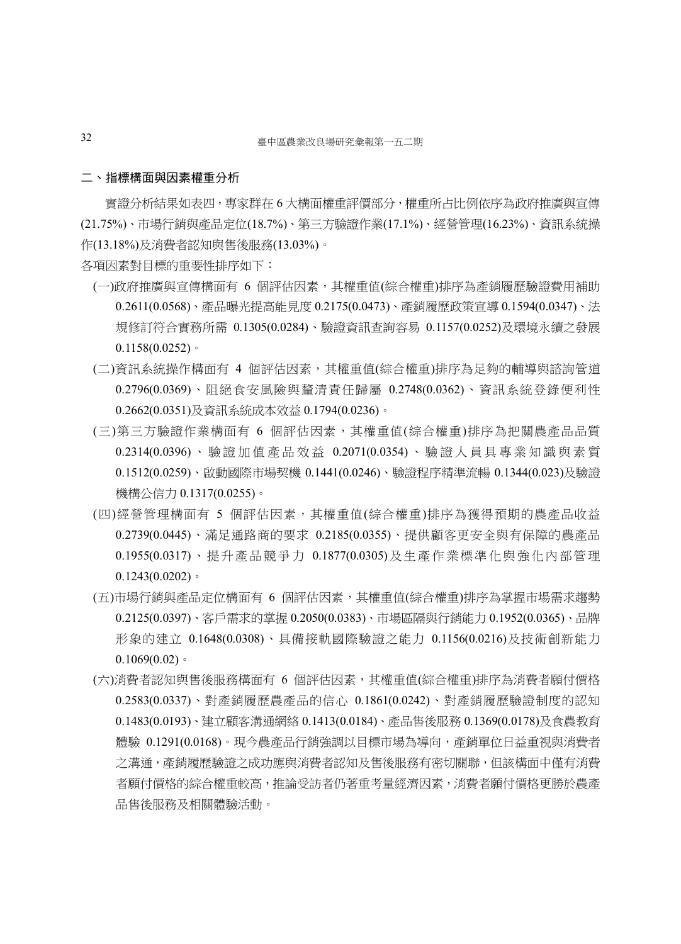#### 二、指標構面與因素權重分析

實證分析結果如表四,專家群在 6 大構面權重評價部分,權重所占比例依序為政府推廣與宣傳 (21.75%)、市場行銷與產品定位(18.7%)、第三方驗證作業(17.1%)、經營管理(16.23%)、資訊系統操 作(13.18%)及消費者認知與售後服務(13.03%)。

各項因素對目標的重要性排序如下:

- (一)政府推廣與宣傳構面有 6 個評估因素,其權重值(綜合權重)排序為產銷履歷驗證費用補助 0.2611(0.0568)、產品曝光提高能見度 0.2175(0.0473)、產銷履歷政策宣導 0.1594(0.0347)、法 規修訂符合實務所需 0.1305(0.0284)、驗證資訊查詢容易 0.1157(0.0252)及環境永續之發展  $0.1158(0.0252)$
- (二)資訊系統操作構面有 4 個評估因素,其權重值(綜合權重)排序為足夠的輔導與諮詢管道 0.2796(0.0369)、阻絕食安風險與釐清責任歸屬 0.2748(0.0362)、資訊系統登錄便利性 0.2662(0.0351)及資訊系統成本效益 0.1794(0.0236)。
- (三)第三方驗證作業構面有 6 個評估因素,其權重值(綜合權重)排序為把關農產品品質 0.2314(0.0396) 、 驗 證 加 值 產 品 效 益 0.2071(0.0354) 、 驗 證 人 員 具 專 業 知 識 與 素 質 0.1512(0.0259)、啟動國際市場契機 0.1441(0.0246)、驗證程序精準流暢 0.1344(0.023)及驗證 機構公信力 0.1317(0.0255)。
- (四)經營管理構面有 5 個評估因素,其權重值(綜合權重)排序為獲得預期的農產品收益 0.2739(0.0445)、滿足通路商的要求 0.2185(0.0355)、提供顧客更安全與有保障的農產品 0.1955(0.0317)、 提 升 產 品 競 爭 力 0.1877(0.0305) 及 生 產 作 業 標 準 化 與 強 化 內 部 管 理  $0.1243(0.0202)$
- (五)市場行銷與產品定位構面有 6 個評估因素,其權重值(綜合權重)排序為掌握市場需求趨勢 0.2125(0.0397)、客戶需求的掌握 0.2050(0.0383)、市場區隔與行銷能力 0.1952(0.0365)、品牌 形象的建立 0.1648(0.0308)、具備接軌國際驗證之能力 0.1156(0.0216)及技術創新能力  $0.1069(0.02)$
- (六)消費者認知與售後服務構面有 6 個評估因素,其權重值(綜合權重)排序為消費者願付價格 0.2583(0.0337)、對產銷履歷農產品的信心 0.1861(0.0242)、對產銷履歷驗證制度的認知 0.1483(0.0193)、建立顧客溝通網絡 0.1413(0.0184)、產品售後服務 0.1369(0.0178)及食農教育 體驗 0.1291(0.0168)。現今農產品行銷強調以目標市場為導向,產銷單位日益重視與消費者 之溝通,產銷履歷驗證之成功應與消費者認知及售後服務有密切關聯,但該構面中僅有消費 者願付價格的綜合權重較高,推論受訪者仍著重考量經濟因素,消費者願付價格更勝於農產 品售後服務及相關體驗活動。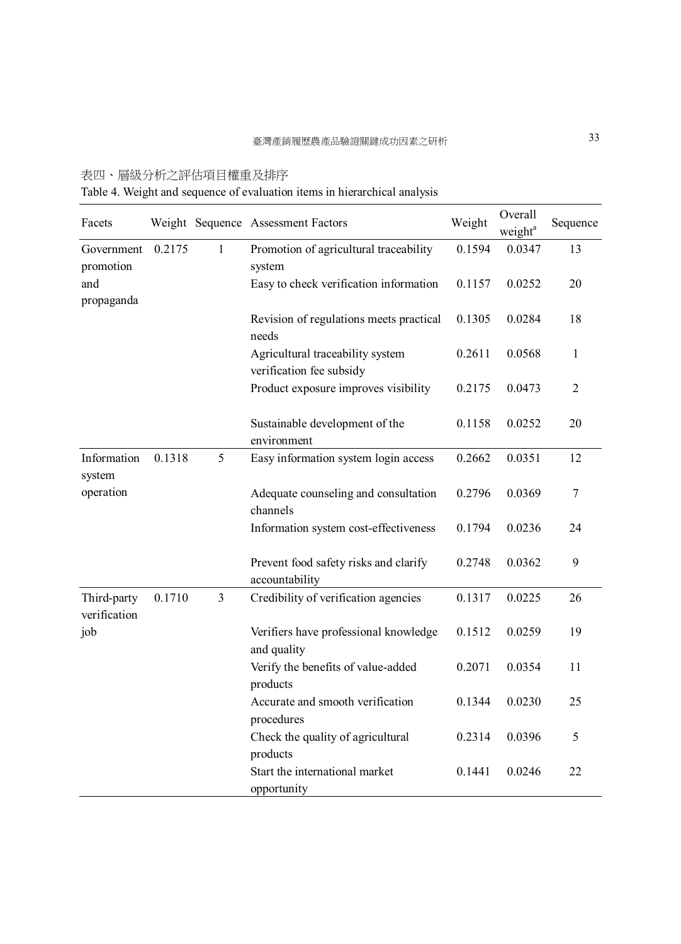# 表四、層級分析之評估項目權重及排序

Table 4. Weight and sequence of evaluation items in hierarchical analysis

| Facets                      |        |              | Weight Sequence Assessment Factors                           | Weight | Overall<br>weight <sup>a</sup> | Sequence |
|-----------------------------|--------|--------------|--------------------------------------------------------------|--------|--------------------------------|----------|
| Government<br>promotion     | 0.2175 | $\mathbf{1}$ | Promotion of agricultural traceability<br>system             | 0.1594 | 0.0347                         | 13       |
| and<br>propaganda           |        |              | Easy to check verification information                       | 0.1157 | 0.0252                         | 20       |
|                             |        |              | Revision of regulations meets practical<br>needs             | 0.1305 | 0.0284                         | 18       |
|                             |        |              | Agricultural traceability system<br>verification fee subsidy | 0.2611 | 0.0568                         | 1        |
|                             |        |              | Product exposure improves visibility                         | 0.2175 | 0.0473                         | 2        |
|                             |        |              | Sustainable development of the<br>environment                | 0.1158 | 0.0252                         | 20       |
| Information<br>system       | 0.1318 | 5            | Easy information system login access                         | 0.2662 | 0.0351                         | 12       |
| operation                   |        |              | Adequate counseling and consultation<br>channels             | 0.2796 | 0.0369                         | 7        |
|                             |        |              | Information system cost-effectiveness                        | 0.1794 | 0.0236                         | 24       |
|                             |        |              | Prevent food safety risks and clarify<br>accountability      | 0.2748 | 0.0362                         | 9        |
| Third-party<br>verification | 0.1710 | 3            | Credibility of verification agencies                         | 0.1317 | 0.0225                         | 26       |
| job                         |        |              | Verifiers have professional knowledge<br>and quality         | 0.1512 | 0.0259                         | 19       |
|                             |        |              | Verify the benefits of value-added<br>products               | 0.2071 | 0.0354                         | 11       |
|                             |        |              | Accurate and smooth verification<br>procedures               | 0.1344 | 0.0230                         | 25       |
|                             |        |              | Check the quality of agricultural<br>products                | 0.2314 | 0.0396                         | 5        |
|                             |        |              | Start the international market<br>opportunity                | 0.1441 | 0.0246                         | 22       |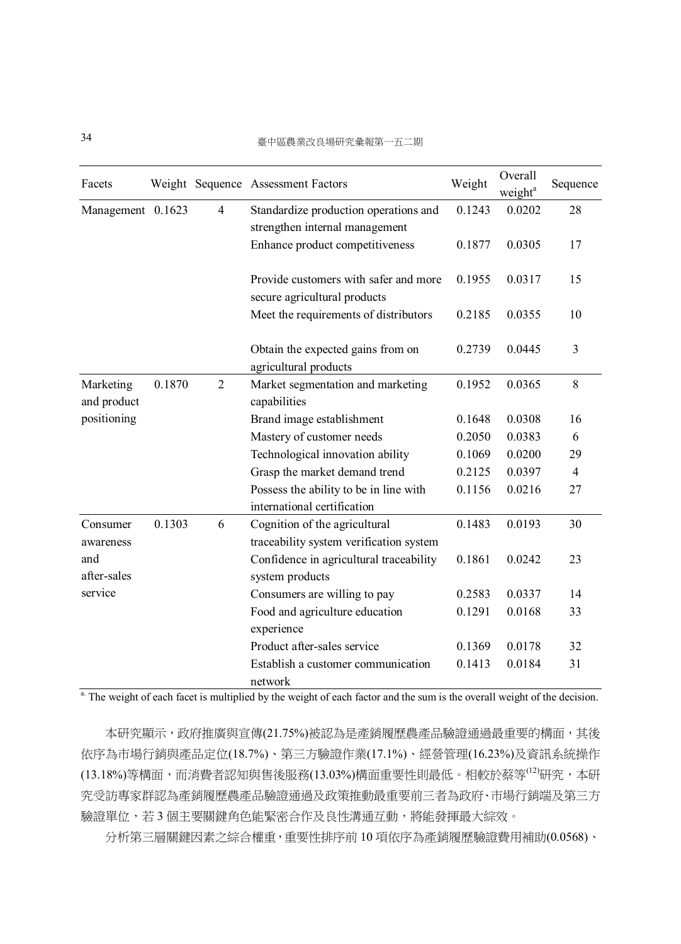| Facets                   |        |                | Weight Sequence Assessment Factors                                       | Weight | Overall<br>weight <sup>a</sup> | Sequence       |
|--------------------------|--------|----------------|--------------------------------------------------------------------------|--------|--------------------------------|----------------|
| Management 0.1623        |        | $\overline{4}$ | Standardize production operations and                                    | 0.1243 | 0.0202                         | 28             |
|                          |        |                | strengthen internal management                                           |        |                                |                |
|                          |        |                | Enhance product competitiveness                                          | 0.1877 | 0.0305                         | 17             |
|                          |        |                | Provide customers with safer and more                                    | 0.1955 | 0.0317                         | 15             |
|                          |        |                | secure agricultural products                                             |        |                                |                |
|                          |        |                | Meet the requirements of distributors                                    | 0.2185 | 0.0355                         | 10             |
|                          |        |                | Obtain the expected gains from on<br>agricultural products               | 0.2739 | 0.0445                         | 3              |
| Marketing<br>and product | 0.1870 | $\overline{2}$ | Market segmentation and marketing<br>capabilities                        | 0.1952 | 0.0365                         | 8              |
| positioning              |        |                | Brand image establishment                                                | 0.1648 | 0.0308                         | 16             |
|                          |        |                | Mastery of customer needs                                                | 0.2050 | 0.0383                         | 6              |
|                          |        |                | Technological innovation ability                                         | 0.1069 | 0.0200                         | 29             |
|                          |        |                | Grasp the market demand trend                                            | 0.2125 | 0.0397                         | $\overline{4}$ |
|                          |        |                | Possess the ability to be in line with<br>international certification    | 0.1156 | 0.0216                         | 27             |
| Consumer<br>awareness    | 0.1303 | 6              | Cognition of the agricultural<br>traceability system verification system | 0.1483 | 0.0193                         | 30             |
| and<br>after-sales       |        |                | Confidence in agricultural traceability<br>system products               | 0.1861 | 0.0242                         | 23             |
| service                  |        |                | Consumers are willing to pay                                             | 0.2583 | 0.0337                         | 14             |
|                          |        |                | Food and agriculture education<br>experience                             | 0.1291 | 0.0168                         | 33             |
|                          |        |                | Product after-sales service                                              | 0.1369 | 0.0178                         | 32             |
|                          |        |                | Establish a customer communication<br>network                            | 0.1413 | 0.0184                         | 31             |

 $\frac{a}{b}$ . The weight of each facet is multiplied by the weight of each factor and the sum is the overall weight of the decision.

本研究顯示,政府推廣與宣傳(21.75%)被認為是產銷履歷農產品驗證通過最重要的構面,其後 依序為市場行銷與產品定位(18.7%)、第三方驗證作業(17.1%)、經營管理(16.23%)及資訊系統操作 (13.18%)等構面,而消費者認知與售後服務(13.03%)構面重要性則最低。相較於蔡等<sup>(12)</sup>研究,本研 究受訪專家群認為產銷履歷農產品驗證通過及政策推動最重要前三者為政府、市場行銷端及第三方 驗證單位,若 3 個主要關鍵角色能緊密合作及良性溝通互動,將能發揮最大綜效。

分析第三層關鍵因素之綜合權重,重要性排序前 10 項依序為產銷履歷驗證費用補助(0.0568)、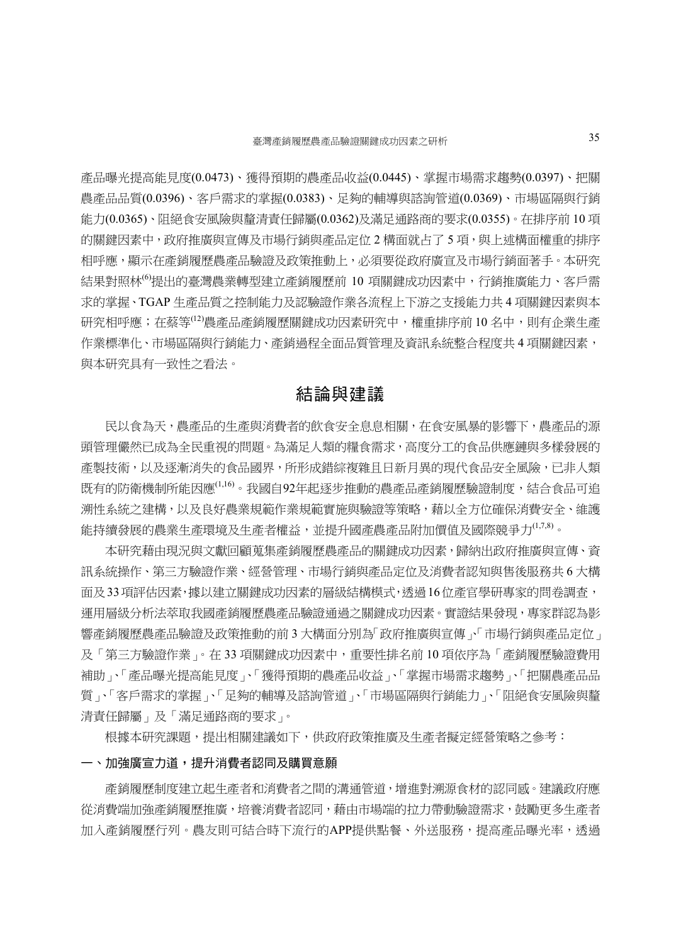產品曝光提高能見度(0.0473)、獲得預期的農產品收益(0.0445)、掌握市場需求趨勢(0.0397)、把關 農產品品質(0.0396)、客戶需求的掌握(0.0383)、足夠的輔導與諮詢管道(0.0369)、市場區隔與行銷 能力(0.0365)、阻絕食安風險與釐清責任歸屬(0.0362)及滿足通路商的要求(0.0355)。在排序前 10 項 的關鍵因素中,政府推廣與宣傳及市場行銷與產品定位 2 構面就占了 5 項,與上述構面權重的排序 相呼應,顯示在產銷履歷產品驗證及政策推動上,必須要從政府廣宣及市場行銷面著手。本研究 結果對照林<sup>(6)</sup>提出的臺灣農業轉型建立產銷履歷前 10 項關鍵成功因素中, 行銷推廣能力、客戶需 求的掌握、TGAP 生產品質之控制能力及認驗證作業各流程上下游之支援能力共 4 項關鍵因素與本 研究相呼應;在蔡等<sup>(12)</sup>農產品產銷履歷關鍵成功因素研究中,權重排序前 10 名中,則有企業生產 作業標準化、市場區隔與行銷能力、產銷過程全面品質管理及資訊系統整合程度共 4 項關鍵因素, 與本研究具有一致性之看法。

# 結論與建議

民以食為天,農產品的生產與消費者的飲食安全息息相關,在食安風暴的影響下,農產品的源 頭管理儼然已成為全民重視的問題。為滿足人類的糧食需求,高度分工的食品供應鏈與多樣發展的 產製技術,以及逐漸消失的食品國界,所形成錯綜複雜且日新月異的現代食品安全風險,已非人類 既有的防衛機制所能因應<sup>(1,16)</sup>。我國自92年起逐步推動的農產品產銷履歷驗證制度,結合食品可追 溯性系統之建構,以及良好農業規範作業規範實施與驗證等策略,藉以全方位確保消費安全、維護 能持續發展的農業生產環境及生產者權益,並提升國產農產品附加價值及國際競爭力<sup>(1,7,8)</sup>。

本研究藉由現況與文獻回顧蒐集產銷履歷農產品的關鍵成功因素,歸納出政府推廣與宣傳、資 訊系統操作、第三方驗證作業、經營管理、市場行銷與產品定位及消費者認知與售後服務共 6 大構 面及33項評估因素,據以建立關鍵成功因素的層級結構模式,透過16位產官學研專家的問卷調查, 運用層級分析法萃取我國產銷履歷農產品驗證通過之關鍵成功因素。實證結果發現,專家群認為影 響產銷履歷農產品驗證及政策推動的前 3 大構面分別為「政府推廣與宣傳」、「市場行銷與產品定位」 及「第三方驗證作業」。在 33 項關鍵成功因素中,重要性排名前 10 項依序為「產銷履歷驗證費用 補助」、「產品曝光提高能見度」、「獲得預期的農產品收益」、「掌握市場需求趨勢」、「把關農產品品 質」、「客戶需求的掌握」、「足夠的輔導及諮詢管道」、「市場區隔與行銷能力」、「阻絕食安風險與釐 清責任歸屬」及「滿足通路商的要求」。

根據本研究課題,提出相關建議如下,供政府政策推廣及生產者擬定經營策略之參考:

#### 一、加強廣宣力道,提升消費者認同及購買意願

產銷履歷制度建立起生產者和消費者之間的溝通管道,增進對溯源食材的認同感。建議政府應 從消費端加強產銷履歷推廣,培養消費者認同,藉由市場端的拉力帶動驗證需求,鼓勵更多生產者 加入產銷履歷行列。農友則可結合時下流行的APP提供點餐、外送服務,提高產品曝光率,透過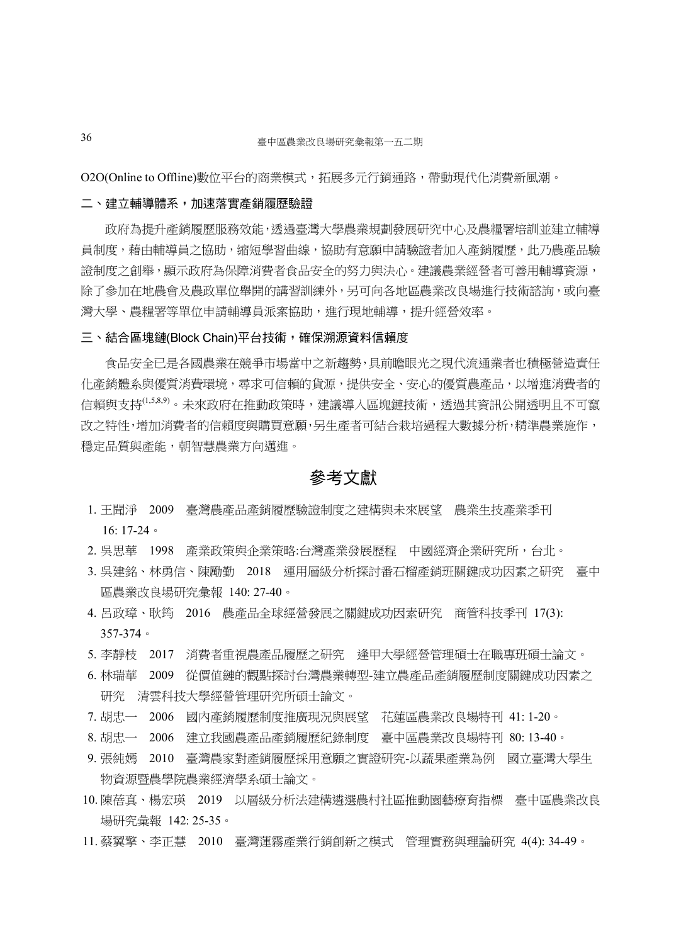O2O(Online to Offline)數位平台的商業模式,拓展多元行銷通路,帶動現代化消費新風潮。

#### 二、建立輔導體系,加速落實產銷履歷驗證

政府為提升產銷履歷服務效能,透過臺灣大學農業規劃發展研究中心及農糧署培訓並建立輔導 員制度,藉由輔導員之協助,縮短學習曲線,協助有意願申請驗證者加入產銷履歷,此乃農產品驗 證制度之創舉,顯示政府為保障消費者食品安全的努力與決心。建議農業經營者可善用輔導資源, 除了參加在地農會及農政單位舉開的講習訓練外,另可向各地區農業改良場進行技術諮詢,或向臺 灣大學、農糧署等單位申請輔導員派案協助,進行現地輔導,提升經營效率。

#### 三、結合區塊鏈(Block Chain)平台技術,確保溯源資料信賴度

食品安全已是各國農業在競爭市場當中之新趨勢,具前瞻眼光之現代流通業者也積極營造責任 化產銷體系與優質消費環境,尋求可信賴的貨源,提供安全、安心的優質農產品,以增進消費者的 信賴與支持<sup>(1,5,8,9)</sup>。未來政府在推動政策時,建議導入區塊鏈技術,透過其資訊公開透明且不可竄 改之特性,增加消費者的信賴度與購買意願,另生產者可結合栽培過程大數據分析,精準農業施作, 穩定品質與產能,朝智慧農業方向邁進。

#### 參考文獻

- 1. 王聞淨 2009 臺灣農產品產銷履歷驗證制度之建構與未來展望 農業生技產業季刊 16: 17-24。
- 2. 吳思華 1998 產業政策與企業策略:台灣產業發展歷程 中國經濟企業研究所,台北。
- 3. 吳建銘、林勇信、陳勵勤 2018 運用層級分析探討番石榴產銷班關鍵成功因素之研究 臺中 區農業改良場研究彙報 140: 27-40。
- 4. 呂政璋、耿筠 2016 農產品全球經營發展之關鍵成功因素研究 商管科技季刊 17(3): 357-374。
- 5. 李靜枝 2017 消費者重視農產品履歷之研究 逢甲大學經營管理碩士在職專班碩士論文。
- 6. 林瑞華 2009 從價值鏈的觀點探討台灣農業轉型-建立農產品產銷履歷制度關鍵成功因素之 研究 清雲科技大學經營管理研究所碩士論文。
- 7. 胡忠一 2006 國內產銷履歷制度推廣現況與展望 花蓮區農業改良場特刊 41: 1-20。
- 8. 胡忠一 2006 建立我國農產品產銷履歷紀錄制度 臺中區農業改良場特刊 80: 13-40。
- 9. 張純嫣 2010 臺灣農家對產銷履歷採用意願之實證研究-以蔬果產業為例 國立臺灣大學生 物資源暨農學院農業經濟學系碩士論文。
- 10. 陳蓓真、楊宏瑛 2019 以層級分析法建構遴選農村社區推動園藝療育指標 臺中區農業改良 場研究彙報 142: 25-35。
- 11. 蔡翼擎、李正慧 2010 臺灣蓮霧產業行銷創新之模式 管理實務與理論研究 4(4): 34-49。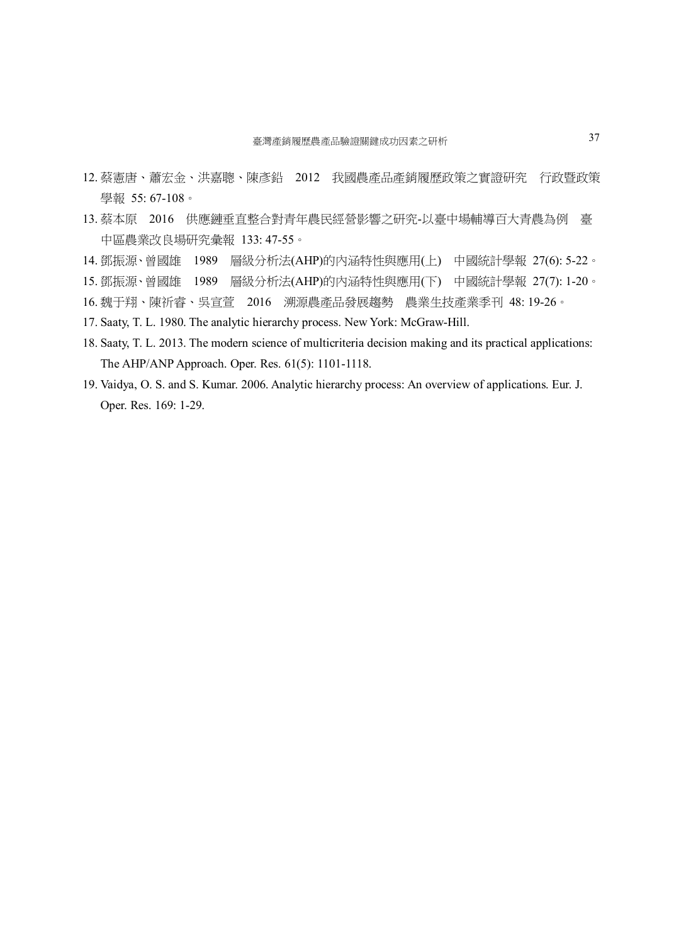- 12. 蔡憲唐、蕭宏金、洪嘉聰、陳彥鉛 2012 我國農產品產銷履歷政策之實證研究 行政暨政策 學報 55:67-108。
- 13. 蔡本原 2016 供應鏈垂直整合對青年農民經營影響之研究-以臺中場輔導百大青農為例 臺 中區農業改良場研究彙報 133: 47-55。
- 14. 鄧振源、曾國雄 1989 層級分析法(AHP)的內涵特性與應用(上) 中國統計學報 27(6): 5-22。
- 15. 鄧振源、曾國雄 1989 層級分析法(AHP)的內涵特性與應用(下) 中國統計學報 27(7): 1-20。
- 16. 魏于翔、陳祈睿、吳宣萱 2016 溯源農產品發展趨勢 農業生技產業季刊 48: 19-26。
- 17. Saaty, T. L. 1980. The analytic hierarchy process. New York: McGraw-Hill.
- 18. Saaty, T. L. 2013. The modern science of multicriteria decision making and its practical applications: The AHP/ANP Approach. Oper. Res. 61(5): 1101-1118.
- 19. Vaidya, O. S. and S. Kumar. 2006. Analytic hierarchy process: An overview of applications. Eur. J. Oper. Res. 169: 1-29.